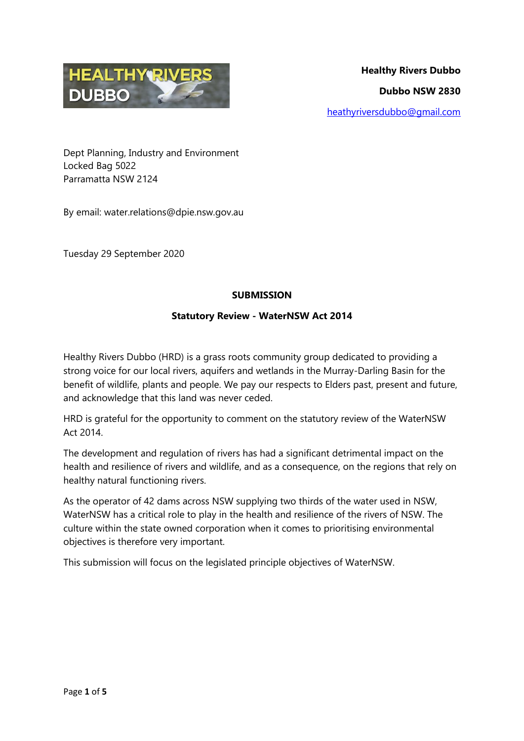

Dept Planning, Industry and Environment Locked Bag 5022 Parramatta NSW 2124

By email: water.relations@dpie.nsw.gov.au

Tuesday 29 September 2020

## **SUBMISSION**

### **Statutory Review - WaterNSW Act 2014**

Healthy Rivers Dubbo (HRD) is a grass roots community group dedicated to providing a strong voice for our local rivers, aquifers and wetlands in the Murray-Darling Basin for the benefit of wildlife, plants and people. We pay our respects to Elders past, present and future, and acknowledge that this land was never ceded.

HRD is grateful for the opportunity to comment on the statutory review of the WaterNSW Act 2014.

The development and regulation of rivers has had a significant detrimental impact on the health and resilience of rivers and wildlife, and as a consequence, on the regions that rely on healthy natural functioning rivers.

As the operator of 42 dams across NSW supplying two thirds of the water used in NSW, WaterNSW has a critical role to play in the health and resilience of the rivers of NSW. The culture within the state owned corporation when it comes to prioritising environmental objectives is therefore very important.

This submission will focus on the legislated principle objectives of WaterNSW.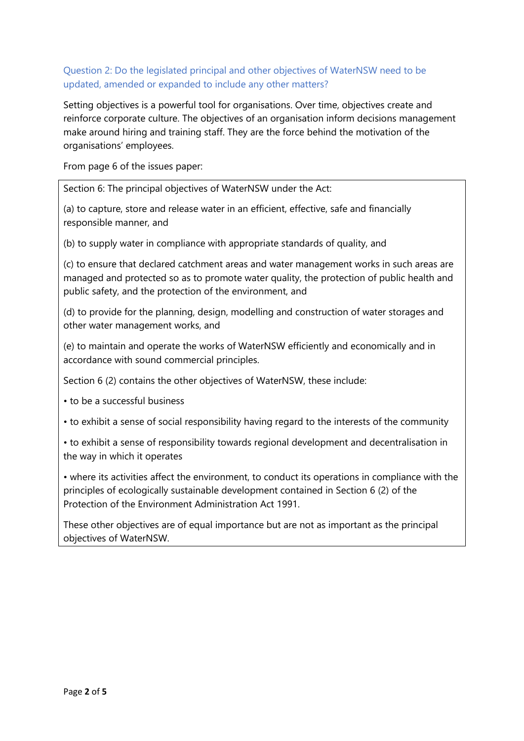# Question 2: Do the legislated principal and other objectives of WaterNSW need to be updated, amended or expanded to include any other matters?

Setting objectives is a powerful tool for organisations. Over time, objectives create and reinforce corporate culture. The objectives of an organisation inform decisions management make around hiring and training staff. They are the force behind the motivation of the organisations' employees.

From page 6 of the issues paper:

Section 6: The principal objectives of WaterNSW under the Act:

(a) to capture, store and release water in an efficient, effective, safe and financially responsible manner, and

(b) to supply water in compliance with appropriate standards of quality, and

(c) to ensure that declared catchment areas and water management works in such areas are managed and protected so as to promote water quality, the protection of public health and public safety, and the protection of the environment, and

(d) to provide for the planning, design, modelling and construction of water storages and other water management works, and

(e) to maintain and operate the works of WaterNSW efficiently and economically and in accordance with sound commercial principles.

Section 6 (2) contains the other objectives of WaterNSW, these include:

• to be a successful business

• to exhibit a sense of social responsibility having regard to the interests of the community

• to exhibit a sense of responsibility towards regional development and decentralisation in the way in which it operates

• where its activities affect the environment, to conduct its operations in compliance with the principles of ecologically sustainable development contained in Section 6 (2) of the Protection of the Environment Administration Act 1991.

These other objectives are of equal importance but are not as important as the principal objectives of WaterNSW.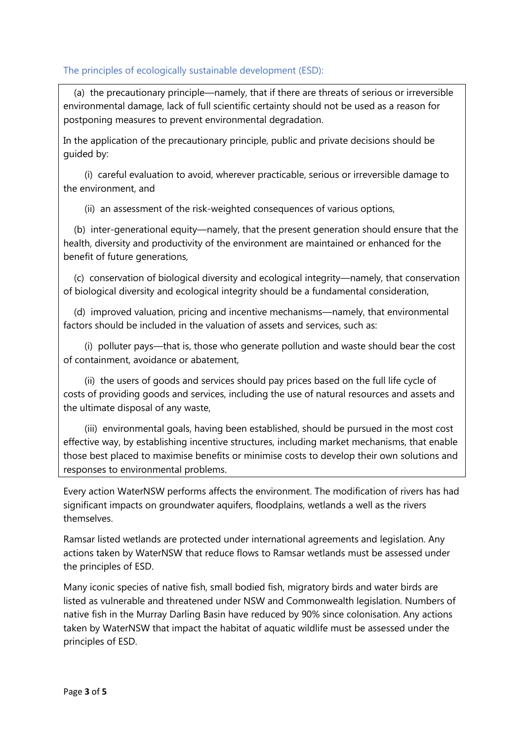## The principles of ecologically sustainable development (ESD):

 (a) the precautionary principle—namely, that if there are threats of serious or irreversible environmental damage, lack of full scientific certainty should not be used as a reason for postponing measures to prevent environmental degradation.

In the application of the precautionary principle, public and private decisions should be guided by:

 (i) careful evaluation to avoid, wherever practicable, serious or irreversible damage to the environment, and

(ii) an assessment of the risk-weighted consequences of various options,

 (b) inter-generational equity—namely, that the present generation should ensure that the health, diversity and productivity of the environment are maintained or enhanced for the benefit of future generations,

 (c) conservation of biological diversity and ecological integrity—namely, that conservation of biological diversity and ecological integrity should be a fundamental consideration,

 (d) improved valuation, pricing and incentive mechanisms—namely, that environmental factors should be included in the valuation of assets and services, such as:

 (i) polluter pays—that is, those who generate pollution and waste should bear the cost of containment, avoidance or abatement,

 (ii) the users of goods and services should pay prices based on the full life cycle of costs of providing goods and services, including the use of natural resources and assets and the ultimate disposal of any waste,

 (iii) environmental goals, having been established, should be pursued in the most cost effective way, by establishing incentive structures, including market mechanisms, that enable those best placed to maximise benefits or minimise costs to develop their own solutions and responses to environmental problems.

Every action WaterNSW performs affects the environment. The modification of rivers has had significant impacts on groundwater aquifers, floodplains, wetlands a well as the rivers themselves.

Ramsar listed wetlands are protected under international agreements and legislation. Any actions taken by WaterNSW that reduce flows to Ramsar wetlands must be assessed under the principles of ESD.

Many iconic species of native fish, small bodied fish, migratory birds and water birds are listed as vulnerable and threatened under NSW and Commonwealth legislation. Numbers of native fish in the Murray Darling Basin have reduced by 90% since colonisation. Any actions taken by WaterNSW that impact the habitat of aquatic wildlife must be assessed under the principles of ESD.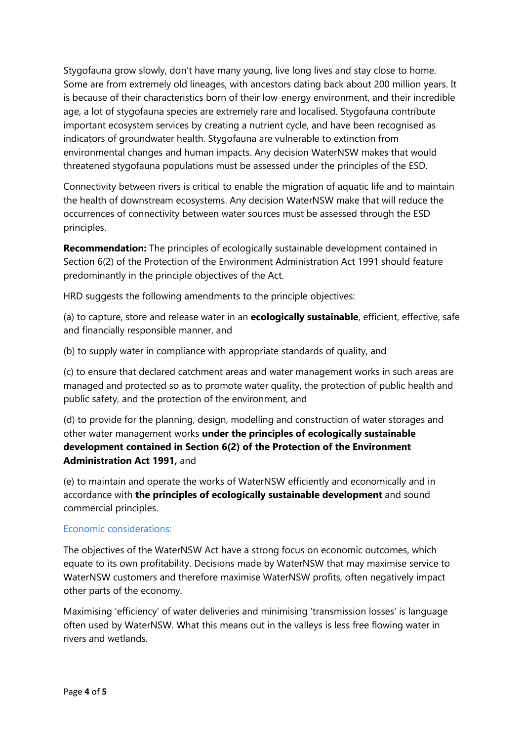Stygofauna grow slowly, don't have many young, live long lives and stay close to home. Some are from extremely old lineages, with ancestors dating back about 200 million years. It is because of their characteristics born of their low-energy environment, and their incredible age, a lot of stygofauna species are extremely rare and localised. Stygofauna contribute important ecosystem services by creating a nutrient cycle, and have been recognised as indicators of groundwater health. Stygofauna are vulnerable to extinction from environmental changes and human impacts. Any decision WaterNSW makes that would threatened stygofauna populations must be assessed under the principles of the ESD.

Connectivity between rivers is critical to enable the migration of aquatic life and to maintain the health of downstream ecosystems. Any decision WaterNSW make that will reduce the occurrences of connectivity between water sources must be assessed through the ESD principles.

**Recommendation:** The principles of ecologically sustainable development contained in Section 6(2) of the Protection of the Environment Administration Act 1991 should feature predominantly in the principle objectives of the Act.

HRD suggests the following amendments to the principle objectives:

(a) to capture, store and release water in an **ecologically sustainable**, efficient, effective, safe and financially responsible manner, and

(b) to supply water in compliance with appropriate standards of quality, and

(c) to ensure that declared catchment areas and water management works in such areas are managed and protected so as to promote water quality, the protection of public health and public safety, and the protection of the environment, and

(d) to provide for the planning, design, modelling and construction of water storages and other water management works **under the principles of ecologically sustainable development contained in Section 6(2) of the Protection of the Environment Administration Act 1991,** and

(e) to maintain and operate the works of WaterNSW efficiently and economically and in accordance with **the principles of ecologically sustainable development** and sound commercial principles.

#### Economic considerations:

The objectives of the WaterNSW Act have a strong focus on economic outcomes, which equate to its own profitability. Decisions made by WaterNSW that may maximise service to WaterNSW customers and therefore maximise WaterNSW profits, often negatively impact other parts of the economy.

Maximising 'efficiency' of water deliveries and minimising 'transmission losses' is language often used by WaterNSW. What this means out in the valleys is less free flowing water in rivers and wetlands.